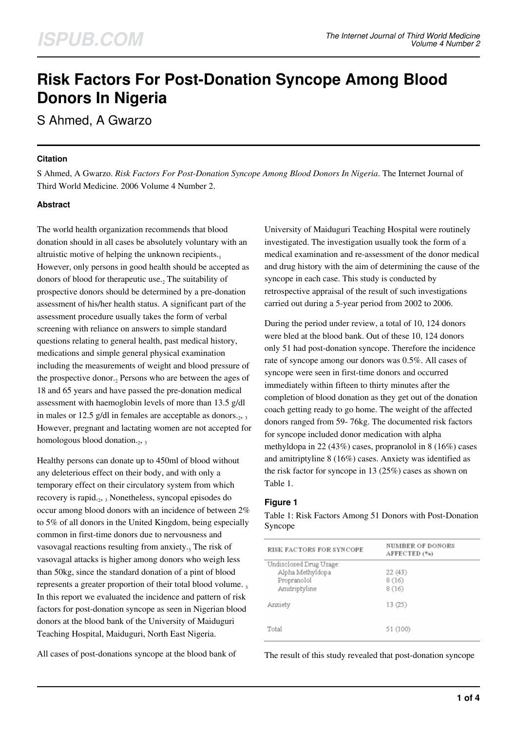# **Risk Factors For Post-Donation Syncope Among Blood Donors In Nigeria**

S Ahmed, A Gwarzo

## **Citation**

S Ahmed, A Gwarzo. *Risk Factors For Post-Donation Syncope Among Blood Donors In Nigeria*. The Internet Journal of Third World Medicine. 2006 Volume 4 Number 2.

# **Abstract**

The world health organization recommends that blood donation should in all cases be absolutely voluntary with an altruistic motive of helping the unknown recipients. $_1$ However, only persons in good health should be accepted as donors of blood for therapeutic use.<sub>2</sub> The suitability of prospective donors should be determined by a pre-donation assessment of his/her health status. A significant part of the assessment procedure usually takes the form of verbal screening with reliance on answers to simple standard questions relating to general health, past medical history, medications and simple general physical examination including the measurements of weight and blood pressure of the prospective donor.<sub>2</sub> Persons who are between the ages of 18 and 65 years and have passed the pre-donation medical assessment with haemoglobin levels of more than 13.5 g/dl in males or 12.5 g/dl in females are acceptable as donors. $_2$ ,  $_3$ However, pregnant and lactating women are not accepted for homologous blood donation. $_2$ ,  $_3$ 

Healthy persons can donate up to 450ml of blood without any deleterious effect on their body, and with only a temporary effect on their circulatory system from which recovery is rapid.<sub>2</sub>, 3 Nonetheless, syncopal episodes do occur among blood donors with an incidence of between 2% to 5% of all donors in the United Kingdom, being especially common in first-time donors due to nervousness and vasovagal reactions resulting from anxiety.<sub>3</sub> The risk of vasovagal attacks is higher among donors who weigh less than 50kg, since the standard donation of a pint of blood represents a greater proportion of their total blood volume. In this report we evaluated the incidence and pattern of risk factors for post-donation syncope as seen in Nigerian blood donors at the blood bank of the University of Maiduguri Teaching Hospital, Maiduguri, North East Nigeria.

All cases of post-donations syncope at the blood bank of

University of Maiduguri Teaching Hospital were routinely investigated. The investigation usually took the form of a medical examination and re-assessment of the donor medical and drug history with the aim of determining the cause of the syncope in each case. This study is conducted by retrospective appraisal of the result of such investigations carried out during a 5-year period from 2002 to 2006.

During the period under review, a total of 10, 124 donors were bled at the blood bank. Out of these 10, 124 donors only 51 had post-donation syncope. Therefore the incidence rate of syncope among our donors was 0.5%. All cases of syncope were seen in first-time donors and occurred immediately within fifteen to thirty minutes after the completion of blood donation as they get out of the donation coach getting ready to go home. The weight of the affected donors ranged from 59- 76kg. The documented risk factors for syncope included donor medication with alpha methyldopa in 22 (43%) cases, propranolol in 8 (16%) cases and amitriptyline 8 (16%) cases. Anxiety was identified as the risk factor for syncope in 13 (25%) cases as shown on Table 1.

## **Figure 1**

Table 1: Risk Factors Among 51 Donors with Post-Donation Syncope

| <b>RISK FACTORS FOR SYNCOPE</b>                                             | <b>NUMBER OF DONORS</b><br>AFFECTED (%) |  |
|-----------------------------------------------------------------------------|-----------------------------------------|--|
| Undisclosed Drug Usage:<br>Alpha Methyldopa<br>Propranolol<br>Amitriptyline | 22(43)<br>8(16)<br>8(16)                |  |
| Anxiety                                                                     | 13(25)                                  |  |
| Total                                                                       | 51 (100)                                |  |

The result of this study revealed that post-donation syncope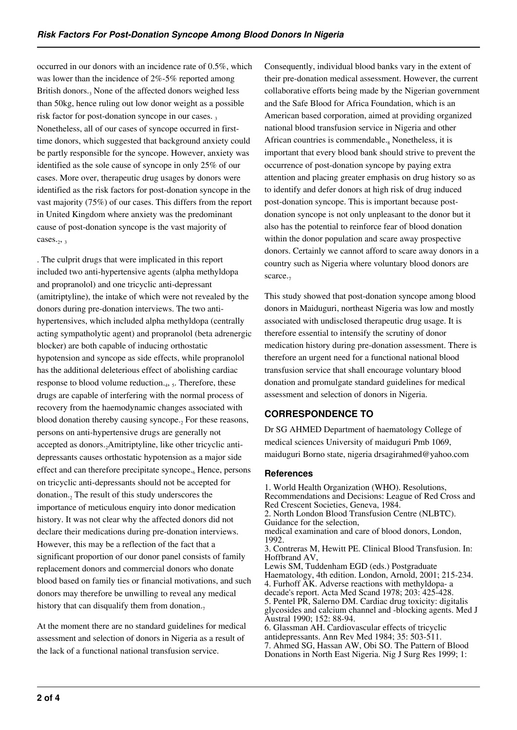occurred in our donors with an incidence rate of 0.5%, which was lower than the incidence of 2%-5% reported among British donors.<sub>3</sub> None of the affected donors weighed less than 50kg, hence ruling out low donor weight as a possible risk factor for post-donation syncope in our cases.  $3$ Nonetheless, all of our cases of syncope occurred in firsttime donors, which suggested that background anxiety could be partly responsible for the syncope. However, anxiety was identified as the sole cause of syncope in only 25% of our cases. More over, therapeutic drug usages by donors were identified as the risk factors for post-donation syncope in the vast majority (75%) of our cases. This differs from the report in United Kingdom where anxiety was the predominant cause of post-donation syncope is the vast majority of cases. $_2$ ,  $_3$ 

. The culprit drugs that were implicated in this report included two anti-hypertensive agents (alpha methyldopa and propranolol) and one tricyclic anti-depressant (amitriptyline), the intake of which were not revealed by the donors during pre-donation interviews. The two antihypertensives, which included alpha methyldopa (centrally acting sympatholytic agent) and propranolol (beta adrenergic blocker) are both capable of inducing orthostatic hypotension and syncope as side effects, while propranolol has the additional deleterious effect of abolishing cardiac response to blood volume reduction.<sub>4</sub>, <sub>5</sub>. Therefore, these drugs are capable of interfering with the normal process of recovery from the haemodynamic changes associated with blood donation thereby causing syncope.<sub>2</sub> For these reasons, persons on anti-hypertensive drugs are generally not accepted as donors., Amitriptyline, like other tricyclic antidepressants causes orthostatic hypotension as a major side effect and can therefore precipitate syncope.<sub>6</sub> Hence, persons on tricyclic anti-depressants should not be accepted for donation.<sub>2</sub> The result of this study underscores the importance of meticulous enquiry into donor medication history. It was not clear why the affected donors did not declare their medications during pre-donation interviews. However, this may be a reflection of the fact that a significant proportion of our donor panel consists of family replacement donors and commercial donors who donate blood based on family ties or financial motivations, and such donors may therefore be unwilling to reveal any medical history that can disqualify them from donation. $<sub>7</sub>$ </sub>

At the moment there are no standard guidelines for medical assessment and selection of donors in Nigeria as a result of the lack of a functional national transfusion service.

Consequently, individual blood banks vary in the extent of their pre-donation medical assessment. However, the current collaborative efforts being made by the Nigerian government and the Safe Blood for Africa Foundation, which is an American based corporation, aimed at providing organized national blood transfusion service in Nigeria and other African countries is commendable. $_8$  Nonetheless, it is important that every blood bank should strive to prevent the occurrence of post-donation syncope by paying extra attention and placing greater emphasis on drug history so as to identify and defer donors at high risk of drug induced post-donation syncope. This is important because postdonation syncope is not only unpleasant to the donor but it also has the potential to reinforce fear of blood donation within the donor population and scare away prospective donors. Certainly we cannot afford to scare away donors in a country such as Nigeria where voluntary blood donors are scarce.<sub>7</sub>

This study showed that post-donation syncope among blood donors in Maiduguri, northeast Nigeria was low and mostly associated with undisclosed therapeutic drug usage. It is therefore essential to intensify the scrutiny of donor medication history during pre-donation assessment. There is therefore an urgent need for a functional national blood transfusion service that shall encourage voluntary blood donation and promulgate standard guidelines for medical assessment and selection of donors in Nigeria.

# **CORRESPONDENCE TO**

Dr SG AHMED Department of haematology College of medical sciences University of maiduguri Pmb 1069, maiduguri Borno state, nigeria drsagirahmed@yahoo.com

## **References**

1. World Health Organization (WHO). Resolutions, Recommendations and Decisions: League of Red Cross and Red Crescent Societies, Geneva, 1984. 2. North London Blood Transfusion Centre (NLBTC). Guidance for the selection, medical examination and care of blood donors, London, 1992. 3. Contreras M, Hewitt PE. Clinical Blood Transfusion. In: Hoffbrand AV, Lewis SM, Tuddenham EGD (eds.) Postgraduate Haematology, 4th edition. London, Arnold, 2001; 215-234. 4. Furhoff AK. Adverse reactions with methyldopa- a decade's report. Acta Med Scand 1978; 203: 425-428. 5. Pentel PR, Salerno DM. Cardiac drug toxicity: digitalis glycosides and calcium channel and -blocking agents. Med J Austral 1990; 152: 88-94. 6. Glassman AH. Cardiovascular effects of tricyclic antidepressants. Ann Rev Med 1984; 35: 503-511.

7. Ahmed SG, Hassan AW, Obi SO. The Pattern of Blood Donations in North East Nigeria. Nig J Surg Res 1999; 1: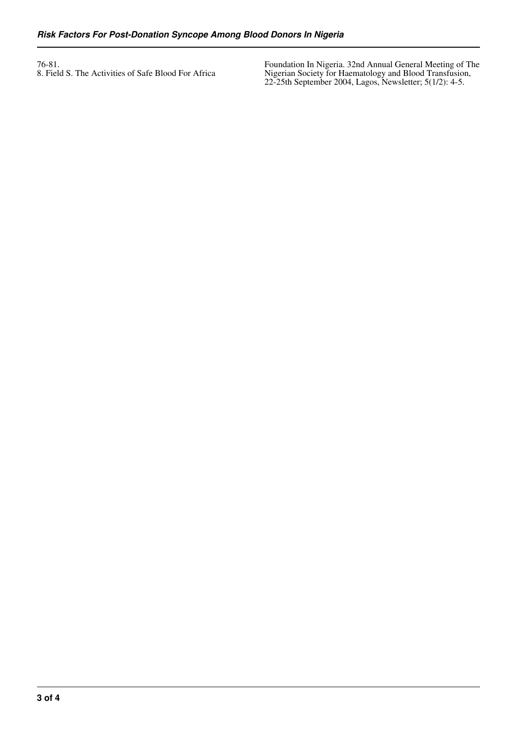76-81. 8. Field S. The Activities of Safe Blood For Africa Foundation In Nigeria. 32nd Annual General Meeting of The Nigerian Society for Haematology and Blood Transfusion, 22-25th September 2004, Lagos, Newsletter; 5(1/2): 4-5.